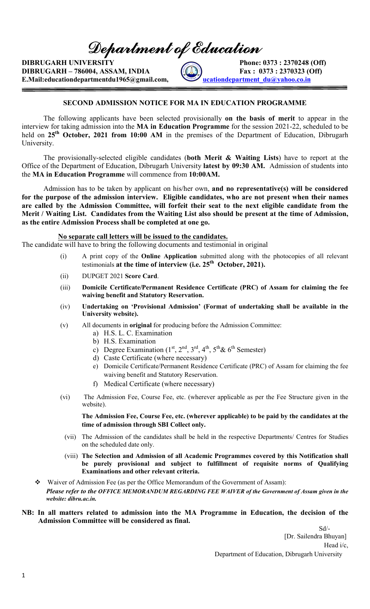Department of Education

DIBRUGARH UNIVERSITY Phone: 0373 : 2370248 (Off)  $DIBRUGARH - 786004, ASSAM, INDIA$   $[60]$   $Fax : 0373 : 2370323 (Off)$ E.Mail:educationdepartmentdu1965@gmail.com, educationdepartment\_du@yahoo.co.in

### SECOND ADMISSION NOTICE FOR MA IN EDUCATION PROGRAMME

The following applicants have been selected provisionally on the basis of merit to appear in the interview for taking admission into the MA in Education Programme for the session 2021-22, scheduled to be held on 25<sup>th</sup> October, 2021 from 10:00 AM in the premises of the Department of Education, Dibrugarh University.

The provisionally-selected eligible candidates (both Merit  $\&$  Waiting Lists) have to report at the Office of the Department of Education, Dibrugarh University latest by 09:30 AM. Admission of students into the MA in Education Programme will commence from 10:00AM.

Admission has to be taken by applicant on his/her own, and no representative(s) will be considered for the purpose of the admission interview. Eligible candidates, who are not present when their names are called by the Admission Committee, will forfeit their seat to the next eligible candidate from the Merit / Waiting List. Candidates from the Waiting List also should be present at the time of Admission, as the entire Admission Process shall be completed at one go.

#### No separate call letters will be issued to the candidates.

The candidate will have to bring the following documents and testimonial in original

- (i) A print copy of the Online Application submitted along with the photocopies of all relevant testimonials at the time of interview (i.e.  $25<sup>th</sup>$  October, 2021).
- (ii) DUPGET 2021 Score Card.
- (iii) Domicile Certificate/Permanent Residence Certificate (PRC) of Assam for claiming the fee waiving benefit and Statutory Reservation.
- (iv) Undertaking on 'Provisional Admission' (Format of undertaking shall be available in the University website).
- (v) All documents in original for producing before the Admission Committee:
	- a) H.S. L. C. Examination
	- b) H.S. Examination
	- c) Degree Examination  $(1<sup>st</sup>, 2<sup>nd</sup>, 3<sup>rd</sup>, 4<sup>th</sup>, 5<sup>th</sup>& 6<sup>th</sup> Semester)$
	- d) Caste Certificate (where necessary)
	- e) Domicile Certificate/Permanent Residence Certificate (PRC) of Assam for claiming the fee waiving benefit and Statutory Reservation.
	- f) Medical Certificate (where necessary)
- (vi) The Admission Fee, Course Fee, etc. (wherever applicable as per the Fee Structure given in the website).

The Admission Fee, Course Fee, etc. (wherever applicable) to be paid by the candidates at the time of admission through SBI Collect only.

- (vii) The Admission of the candidates shall be held in the respective Departments/ Centres for Studies on the scheduled date only.
- (viii) The Selection and Admission of all Academic Programmes covered by this Notification shall be purely provisional and subject to fulfillment of requisite norms of Qualifying Examinations and other relevant criteria.
- Waiver of Admission Fee (as per the Office Memorandum of the Government of Assam): Please refer to the OFFICE MEMORANDUM REGARDING FEE WAIVER of the Government of Assam given in the website: dibru.ac.in.

#### NB: In all matters related to admission into the MA Programme in Education, the decision of the Admission Committee will be considered as final.

 Sd/- [Dr. Sailendra Bhuyan] Head i/c, Department of Education, Dibrugarh University